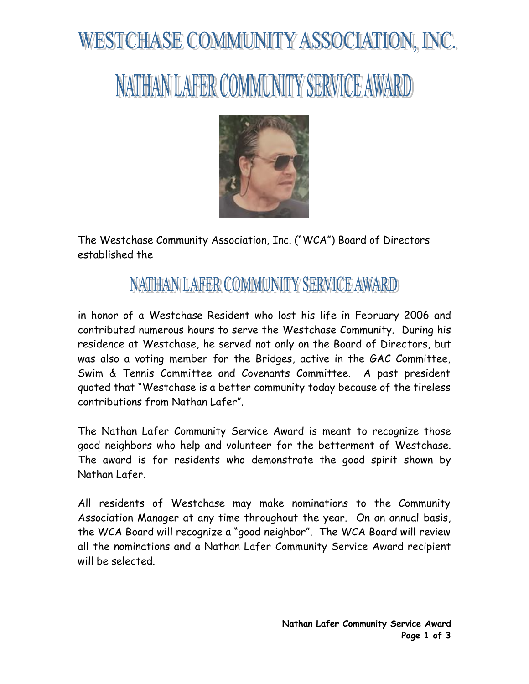# WESTCHASE COMMUNITY ASSOCIATION, INC.

## NATHAN LAFER COMMUNITY SERVICE AWARD



The Westchase Community Association, Inc. ("WCA") Board of Directors established the

### NATHANILAFER COMMUNITY SERVICE AWARD

in honor of a Westchase Resident who lost his life in February 2006 and contributed numerous hours to serve the Westchase Community. During his residence at Westchase, he served not only on the Board of Directors, but was also a voting member for the Bridges, active in the GAC Committee, Swim & Tennis Committee and Covenants Committee. A past president quoted that "Westchase is a better community today because of the tireless contributions from Nathan Lafer".

The Nathan Lafer Community Service Award is meant to recognize those good neighbors who help and volunteer for the betterment of Westchase. The award is for residents who demonstrate the good spirit shown by Nathan Lafer.

All residents of Westchase may make nominations to the Community Association Manager at any time throughout the year. On an annual basis, the WCA Board will recognize a "good neighbor". The WCA Board will review all the nominations and a Nathan Lafer Community Service Award recipient will be selected.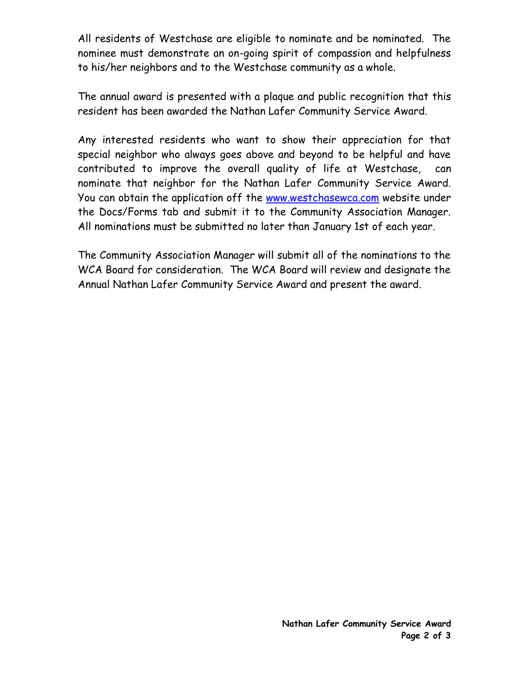All residents of Westchase are eligible to nominate and be nominated. The nominee must demonstrate an on-going spirit of compassion and helpfulness to his/her neighbors and to the Westchase community as a whole.

The annual award is presented with a plaque and public recognition that this resident has been awarded the Nathan Lafer Community Service Award.

Any interested residents who want to show their appreciation for that special neighbor who always goes above and beyond to be helpful and have contributed to improve the overall quality of life at Westchase, can nominate that neighbor for the Nathan Lafer Community Service Award. You can obtain the application off the [www.westchasewca.com](http://www.westchasewca.com/) website under the Docs/Forms tab and submit it to the Community Association Manager. All nominations must be submitted no later than January 1st of each year.

The Community Association Manager will submit all of the nominations to the WCA Board for consideration. The WCA Board will review and designate the Annual Nathan Lafer Community Service Award and present the award.